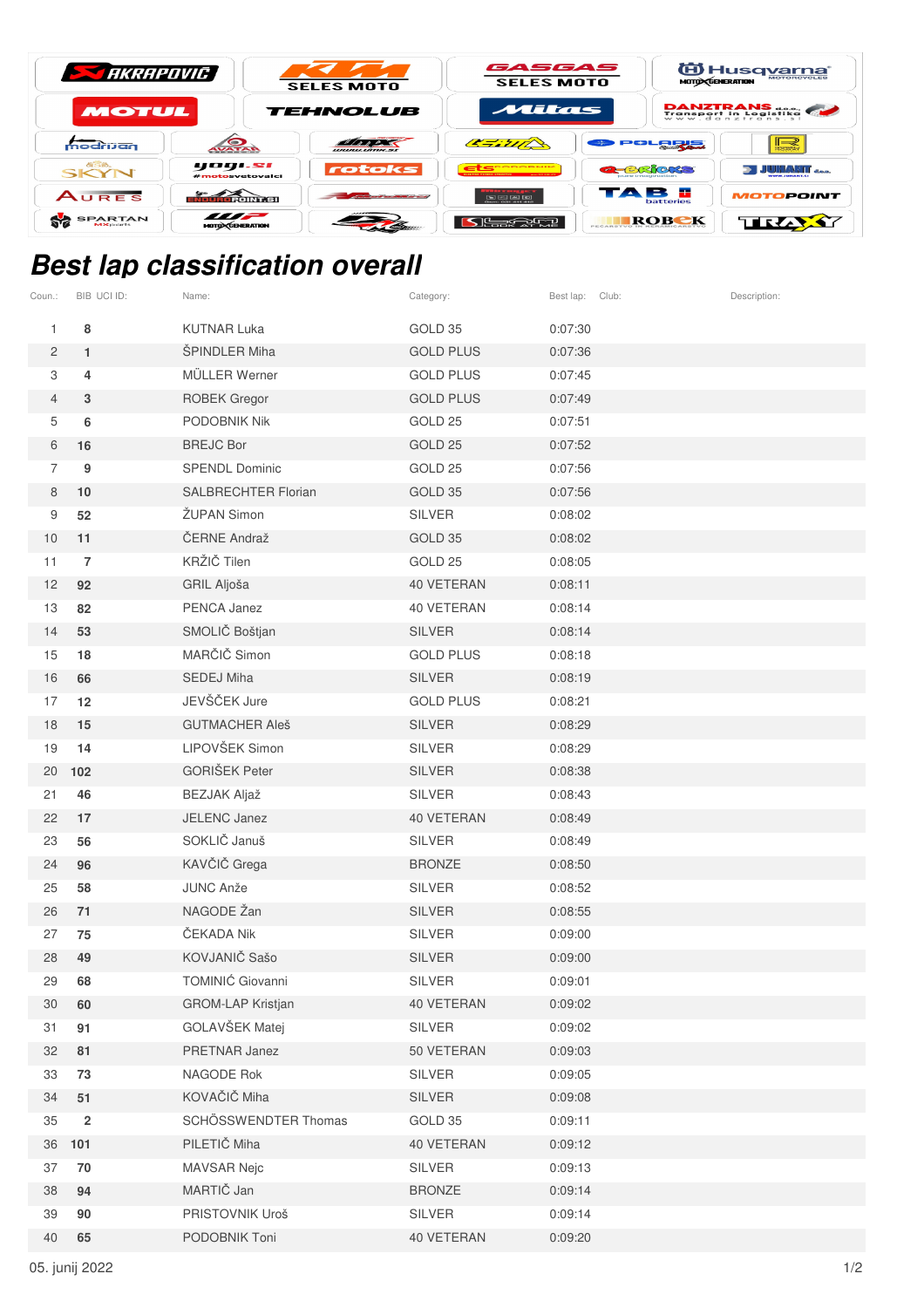| <b>STARE AND ARRANGE DESCRIPTION OF PROPERTY</b> |                                          | <b>SELES MOTO</b>       | GASGAS<br><b>SELES MOTO</b>                                                                     |                                           | id Husq <u>varna</u><br><b>MOTO CENERATION</b> |  |
|--------------------------------------------------|------------------------------------------|-------------------------|-------------------------------------------------------------------------------------------------|-------------------------------------------|------------------------------------------------|--|
| MOTUL                                            |                                          | <b>TEHNOLUB</b>         | Mitas                                                                                           |                                           | DANZTRANS                                      |  |
| modrijan                                         | <b>AVATAR</b>                            | <i><b>URULLIANS</b></i> | 277772                                                                                          | POLORE                                    | $\mathbb{L}$                                   |  |
| <b>GSB.</b><br>SKYN                              | yogi.si<br>#motosvetovalci               | rotoks                  | ECODODNIK<br><b>ANDREW WAY AWAY</b>                                                             | <b>G-BROKS</b><br><b>Dure imagination</b> | <b>JUHANT</b> and                              |  |
| AURES                                            | <b>TORONT SIL</b>                        | ---------------         | $\boxed{5}$ $\boxed{2}$ $\boxed{6}$ $\boxed{6}$ $\boxed{6}$<br>Chemical Children chief children | TAB E<br>batteries                        | <b>MOTOPOINT</b>                               |  |
| <b>SPARTAN</b><br><b>MX</b> parts                | $\blacksquare$<br><b>MOTO CENERATION</b> |                         |                                                                                                 | ROBEK                                     | TIRZAY                                         |  |

## **Best lap classification overall**

| Coun.:         | BIB UCI ID:    | Name:                      | Category:        | Best lap: Club: | Description: |
|----------------|----------------|----------------------------|------------------|-----------------|--------------|
| 1              | 8              | <b>KUTNAR Luka</b>         | GOLD 35          | 0:07:30         |              |
| $\overline{c}$ | $\mathbf{1}$   | ŠPINDLER Miha              | <b>GOLD PLUS</b> | 0:07:36         |              |
| 3              | 4              | MÜLLER Werner              | <b>GOLD PLUS</b> | 0:07:45         |              |
| $\overline{4}$ | 3              | <b>ROBEK Gregor</b>        | <b>GOLD PLUS</b> | 0:07:49         |              |
| 5              | 6              | PODOBNIK Nik               | GOLD 25          | 0:07:51         |              |
| 6              | 16             | <b>BREJC Bor</b>           | GOLD 25          | 0:07:52         |              |
| $\overline{7}$ | 9              | <b>SPENDL Dominic</b>      | GOLD 25          | 0:07:56         |              |
| $\,8\,$        | 10             | <b>SALBRECHTER Florian</b> | GOLD 35          | 0:07:56         |              |
| 9              | 52             | ŽUPAN Simon                | <b>SILVER</b>    | 0:08:02         |              |
| 10             | 11             | ČERNE Andraž               | GOLD 35          | 0:08:02         |              |
| 11             | $\overline{7}$ | KRŽIČ Tilen                | GOLD 25          | 0:08:05         |              |
| 12             | 92             | GRIL Aljoša                | 40 VETERAN       | 0:08:11         |              |
| 13             | 82             | PENCA Janez                | 40 VETERAN       | 0:08:14         |              |
| 14             | 53             | SMOLIČ Boštjan             | <b>SILVER</b>    | 0:08:14         |              |
| 15             | 18             | MARČIČ Simon               | <b>GOLD PLUS</b> | 0:08:18         |              |
| 16             | 66             | <b>SEDEJ Miha</b>          | <b>SILVER</b>    | 0:08:19         |              |
| 17             | 12             | JEVŠČEK Jure               | <b>GOLD PLUS</b> | 0:08:21         |              |
| 18             | 15             | <b>GUTMACHER Aleš</b>      | <b>SILVER</b>    | 0:08:29         |              |
| 19             | 14             | LIPOVŠEK Simon             | <b>SILVER</b>    | 0:08:29         |              |
| 20             | 102            | <b>GORIŠEK Peter</b>       | <b>SILVER</b>    | 0:08:38         |              |
| 21             | 46             | <b>BEZJAK Aljaž</b>        | <b>SILVER</b>    | 0:08:43         |              |
| 22             | 17             | JELENC Janez               | 40 VETERAN       | 0:08:49         |              |
| 23             | 56             | SOKLIČ Januš               | <b>SILVER</b>    | 0:08:49         |              |
| 24             | 96             | KAVČIČ Grega               | <b>BRONZE</b>    | 0:08:50         |              |
| 25             | 58             | <b>JUNC Anže</b>           | <b>SILVER</b>    | 0:08:52         |              |
| 26             | 71             | NAGODE Žan                 | <b>SILVER</b>    | 0:08:55         |              |
| 27             | 75             | ČEKADA Nik                 | <b>SILVER</b>    | 0:09:00         |              |
| 28             | 49             | KOVJANIČ Sašo              | <b>SILVER</b>    | 0:09:00         |              |
| 29             | 68             | TOMINIĆ Giovanni           | <b>SILVER</b>    | 0:09:01         |              |
| 30             | 60             | GROM-LAP Kristjan          | 40 VETERAN       | 0:09:02         |              |
| 31             | 91             | GOLAVŠEK Matej             | SILVER           | 0:09:02         |              |
| 32             | 81             | PRETNAR Janez              | 50 VETERAN       | 0:09:03         |              |
| 33             | 73             | <b>NAGODE Rok</b>          | SILVER           | 0:09:05         |              |
| 34             | 51             | KOVAČIČ Miha               | <b>SILVER</b>    | 0:09:08         |              |
| 35             | $\overline{2}$ | SCHÖSSWENDTER Thomas       | GOLD 35          | 0:09:11         |              |
| 36             | 101            | PILETIČ Miha               | 40 VETERAN       | 0:09:12         |              |
| 37             | 70             | <b>MAVSAR Nejc</b>         | SILVER           | 0:09:13         |              |
| 38             | 94             | MARTIČ Jan                 | <b>BRONZE</b>    | 0:09:14         |              |
| 39             | 90             | PRISTOVNIK Uroš            | SILVER           | 0:09:14         |              |
| 40             | 65             | PODOBNIK Toni              | 40 VETERAN       | 0:09:20         |              |